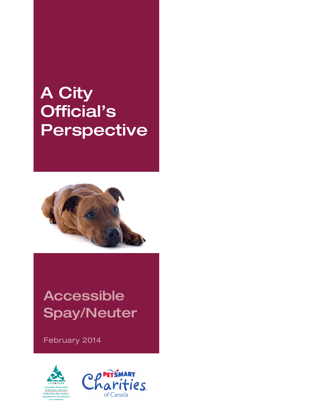# A City Official's Perspective



# Accessible Spay/Neuter

February 2014



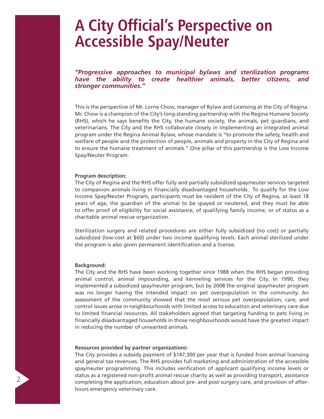## **A City Official's Perspective on Accessible Spay/Neuter**

*"Progressive approaches to municipal bylaws and sterilization programs have the ability to create healthier animals, better citizens, and stronger communities."*

This is the perspective of Mr. Lorne Chow, manager of Bylaw and Licensing at the City of Regina. Mr. Chow is a champion of the City's long-standing partnership with the Regina Humane Society (RHS), which he says benefits the City, the humane society, the animals, pet guardians, and veterinarians. The City and the RHS collaborate closely in implementing an integrated animal program under the Regina Animal Bylaw, whose mandate is "to promote the safety, health and welfare of people and the protection of people, animals and property in the City of Regina and to ensure the humane treatment of animals." One pillar of this partnership is the Low Income Spay/Neuter Program.

#### **Program description:**

The City of Regina and the RHS offer fully and partially subsidized spay/neuter services targeted to companion animals living in financially disadvantaged households. To qualify for the Low Income Spay/Neuter Program, participants must be resident of the City of Regina, at least 18 years of age, the guardian of the animal to be spayed or neutered, and they must be able to offer proof of eligibility for social assistance, of qualifying family income, or of status as a charitable animal rescue organization.

Sterilization surgery and related procedures are either fully subsidized (no cost) or partially subsidized (low-cost at \$60) under two income qualifying levels. Each animal sterilized under the program is also given permanent identification and a license.

#### **Background:**

The City and the RHS have been working together since 1988 when the RHS began providing animal control, animal impounding, and kenneling services for the City. In 1990, they implemented a subsidized spay/neuter program, but by 2008 the original spay/neuter program was no longer having the intended impact on pet overpopulation in the community. An assessment of the community showed that the most serious pet overpopulation, care, and control issues arose in neighbourhoods with limited access to education and veterinary care due to limited financial resources. All stakeholders agreed that targeting funding to pets living in financially disadvantaged households in those neighbourhoods would have the greatest impact in reducing the number of unwanted animals.

#### **Resources provided by partner organizations:**

The City provides a subsidy payment of \$147,300 per year that is funded from animal licensing and general tax revenues. The RHS provides full marketing and administration of the accessible spay/neuter programming. This includes verification of applicant qualifying income levels or status as a registered non-profit animal rescue charity as well as providing transport, assistance completing the application, education about pre- and post-surgery care, and provision of afterhours emergency veterinary care.